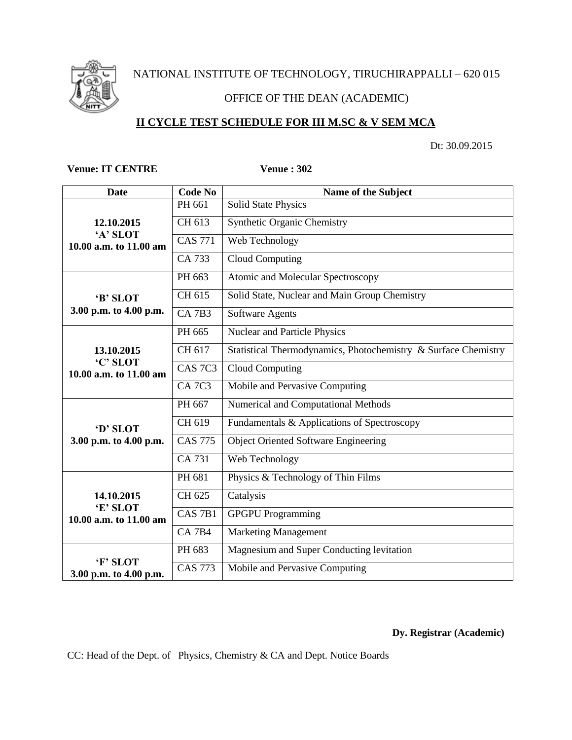

NATIONAL INSTITUTE OF TECHNOLOGY, TIRUCHIRAPPALLI – 620 015

# OFFICE OF THE DEAN (ACADEMIC)

# **II CYCLE TEST SCHEDULE FOR III M.SC & V SEM MCA**

Dt: 30.09.2015

### **Venue: IT CENTRE Venue : 302**

| <b>Date</b>                                      | <b>Code No</b>     | Name of the Subject                                            |  |  |
|--------------------------------------------------|--------------------|----------------------------------------------------------------|--|--|
| 12.10.2015<br>'A' SLOT<br>10.00 a.m. to 11.00 am | PH 661             | <b>Solid State Physics</b>                                     |  |  |
|                                                  | CH 613             | <b>Synthetic Organic Chemistry</b>                             |  |  |
|                                                  | <b>CAS 771</b>     | Web Technology                                                 |  |  |
|                                                  | CA 733             | Cloud Computing                                                |  |  |
| 'B' SLOT<br>3.00 p.m. to 4.00 p.m.               | PH 663             | Atomic and Molecular Spectroscopy                              |  |  |
|                                                  | CH 615             | Solid State, Nuclear and Main Group Chemistry                  |  |  |
|                                                  | $CA$ $7B3$         | <b>Software Agents</b>                                         |  |  |
| 13.10.2015<br>'C' SLOT<br>10.00 a.m. to 11.00 am | PH 665             | Nuclear and Particle Physics                                   |  |  |
|                                                  | CH 617             | Statistical Thermodynamics, Photochemistry & Surface Chemistry |  |  |
|                                                  | CAS <sub>7C3</sub> | Cloud Computing                                                |  |  |
|                                                  | <b>CA 7C3</b>      | Mobile and Pervasive Computing                                 |  |  |
| 'D' SLOT<br>3.00 p.m. to 4.00 p.m.               | PH 667             | Numerical and Computational Methods                            |  |  |
|                                                  | CH 619             | Fundamentals & Applications of Spectroscopy                    |  |  |
|                                                  | <b>CAS 775</b>     | <b>Object Oriented Software Engineering</b>                    |  |  |
|                                                  | CA 731             | Web Technology                                                 |  |  |
| 14.10.2015<br>'E' SLOT<br>10.00 a.m. to 11.00 am | PH 681             | Physics & Technology of Thin Films                             |  |  |
|                                                  | CH 625             | Catalysis                                                      |  |  |
|                                                  | CAS <sub>7B1</sub> | <b>GPGPU</b> Programming                                       |  |  |
|                                                  | <b>CA 7B4</b>      | <b>Marketing Management</b>                                    |  |  |
|                                                  | PH 683             | Magnesium and Super Conducting levitation                      |  |  |
| 'F' SLOT<br>3.00 p.m. to 4.00 p.m.               | <b>CAS 773</b>     | Mobile and Pervasive Computing                                 |  |  |

**Dy. Registrar (Academic)**

CC: Head of the Dept. of Physics, Chemistry & CA and Dept. Notice Boards